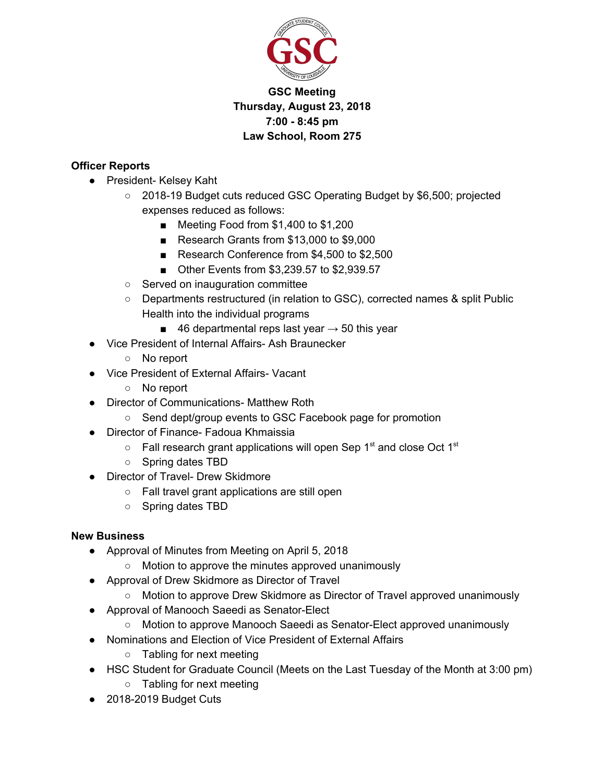

# **GSC Meeting Thursday, August 23, 2018 7:00 - 8:45 pm Law School, Room 275**

### **Officer Reports**

- President- Kelsey Kaht
	- 2018-19 Budget cuts reduced GSC Operating Budget by \$6,500; projected expenses reduced as follows:
		- Meeting Food from \$1,400 to \$1,200
		- Research Grants from \$13,000 to \$9,000
		- Research Conference from \$4,500 to \$2,500
		- Other Events from \$3,239.57 to \$2,939.57
	- Served on inauguration committee
	- Departments restructured (in relation to GSC), corrected names & split Public Health into the individual programs
		- 46 departmental reps last year  $\rightarrow$  50 this year
- Vice President of Internal Affairs- Ash Braunecker
	- No report
- Vice President of External Affairs- Vacant
	- No report
- Director of Communications- Matthew Roth
	- Send dept/group events to GSC Facebook page for promotion
- Director of Finance- Fadoua Khmaissia
	- $\circ$  Fall research grant applications will open Sep 1<sup>st</sup> and close Oct 1<sup>st</sup>
	- Spring dates TBD
- Director of Travel- Drew Skidmore
	- Fall travel grant applications are still open
	- Spring dates TBD

#### **New Business**

- Approval of Minutes from Meeting on April 5, 2018
	- Motion to approve the minutes approved unanimously
- Approval of Drew Skidmore as Director of Travel
	- Motion to approve Drew Skidmore as Director of Travel approved unanimously
- Approval of Manooch Saeedi as Senator-Elect
	- Motion to approve Manooch Saeedi as Senator-Elect approved unanimously
- Nominations and Election of Vice President of External Affairs
	- Tabling for next meeting
- HSC Student for Graduate Council (Meets on the Last Tuesday of the Month at 3:00 pm) ○ Tabling for next meeting
- 2018-2019 Budget Cuts